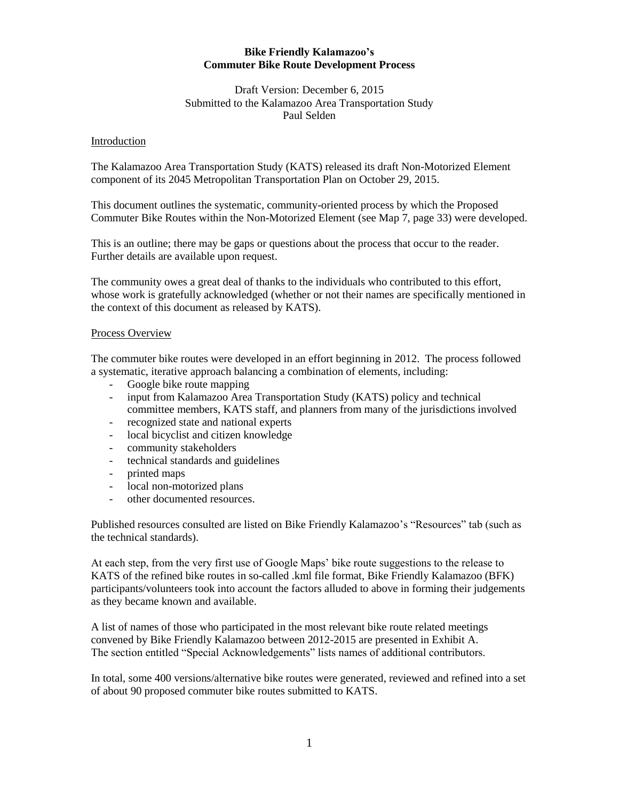#### **Bike Friendly Kalamazoo's Commuter Bike Route Development Process**

# Draft Version: December 6, 2015 Submitted to the Kalamazoo Area Transportation Study Paul Selden

#### Introduction

The Kalamazoo Area Transportation Study (KATS) released its draft Non-Motorized Element component of its 2045 Metropolitan Transportation Plan on October 29, 2015.

This document outlines the systematic, community-oriented process by which the Proposed Commuter Bike Routes within the Non-Motorized Element (see Map 7, page 33) were developed.

This is an outline; there may be gaps or questions about the process that occur to the reader. Further details are available upon request.

The community owes a great deal of thanks to the individuals who contributed to this effort, whose work is gratefully acknowledged (whether or not their names are specifically mentioned in the context of this document as released by KATS).

## Process Overview

The commuter bike routes were developed in an effort beginning in 2012. The process followed a systematic, iterative approach balancing a combination of elements, including:

- Google bike route mapping
- input from Kalamazoo Area Transportation Study (KATS) policy and technical committee members, KATS staff, and planners from many of the jurisdictions involved
- recognized state and national experts
- local bicyclist and citizen knowledge
- community stakeholders
- technical standards and guidelines
- printed maps
- local non-motorized plans
- other documented resources.

Published resources consulted are listed on Bike Friendly Kalamazoo's "Resources" tab (such as the technical standards).

At each step, from the very first use of Google Maps' bike route suggestions to the release to KATS of the refined bike routes in so-called .kml file format, Bike Friendly Kalamazoo (BFK) participants/volunteers took into account the factors alluded to above in forming their judgements as they became known and available.

A list of names of those who participated in the most relevant bike route related meetings convened by Bike Friendly Kalamazoo between 2012-2015 are presented in Exhibit A. The section entitled "Special Acknowledgements" lists names of additional contributors.

In total, some 400 versions/alternative bike routes were generated, reviewed and refined into a set of about 90 proposed commuter bike routes submitted to KATS.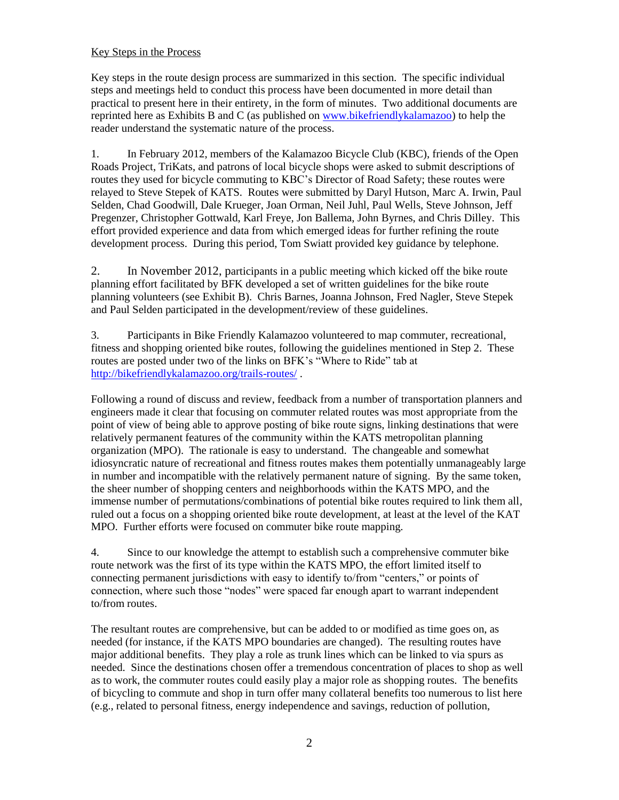# Key Steps in the Process

Key steps in the route design process are summarized in this section. The specific individual steps and meetings held to conduct this process have been documented in more detail than practical to present here in their entirety, in the form of minutes. Two additional documents are reprinted here as Exhibits B and C (as published on [www.bikefriendlykalamazoo\)](http://www.bikefriendlykalamazoo/) to help the reader understand the systematic nature of the process.

1. In February 2012, members of the Kalamazoo Bicycle Club (KBC), friends of the Open Roads Project, TriKats, and patrons of local bicycle shops were asked to submit descriptions of routes they used for bicycle commuting to KBC's Director of Road Safety; these routes were relayed to Steve Stepek of KATS. Routes were submitted by Daryl Hutson, Marc A. Irwin, Paul Selden, Chad Goodwill, Dale Krueger, Joan Orman, Neil Juhl, Paul Wells, Steve Johnson, Jeff Pregenzer, Christopher Gottwald, Karl Freye, Jon Ballema, John Byrnes, and Chris Dilley. This effort provided experience and data from which emerged ideas for further refining the route development process. During this period, Tom Swiatt provided key guidance by telephone.

2. In November 2012, participants in a public meeting which kicked off the bike route planning effort facilitated by BFK developed a set of written guidelines for the bike route planning volunteers (see Exhibit B). Chris Barnes, Joanna Johnson, Fred Nagler, Steve Stepek and Paul Selden participated in the development/review of these guidelines.

3. Participants in Bike Friendly Kalamazoo volunteered to map commuter, recreational, fitness and shopping oriented bike routes, following the guidelines mentioned in Step 2. These routes are posted under two of the links on BFK's "Where to Ride" tab at <http://bikefriendlykalamazoo.org/trails-routes/> .

Following a round of discuss and review, feedback from a number of transportation planners and engineers made it clear that focusing on commuter related routes was most appropriate from the point of view of being able to approve posting of bike route signs, linking destinations that were relatively permanent features of the community within the KATS metropolitan planning organization (MPO). The rationale is easy to understand. The changeable and somewhat idiosyncratic nature of recreational and fitness routes makes them potentially unmanageably large in number and incompatible with the relatively permanent nature of signing. By the same token, the sheer number of shopping centers and neighborhoods within the KATS MPO, and the immense number of permutations/combinations of potential bike routes required to link them all, ruled out a focus on a shopping oriented bike route development, at least at the level of the KAT MPO. Further efforts were focused on commuter bike route mapping.

4. Since to our knowledge the attempt to establish such a comprehensive commuter bike route network was the first of its type within the KATS MPO, the effort limited itself to connecting permanent jurisdictions with easy to identify to/from "centers," or points of connection, where such those "nodes" were spaced far enough apart to warrant independent to/from routes.

The resultant routes are comprehensive, but can be added to or modified as time goes on, as needed (for instance, if the KATS MPO boundaries are changed). The resulting routes have major additional benefits. They play a role as trunk lines which can be linked to via spurs as needed. Since the destinations chosen offer a tremendous concentration of places to shop as well as to work, the commuter routes could easily play a major role as shopping routes. The benefits of bicycling to commute and shop in turn offer many collateral benefits too numerous to list here (e.g., related to personal fitness, energy independence and savings, reduction of pollution,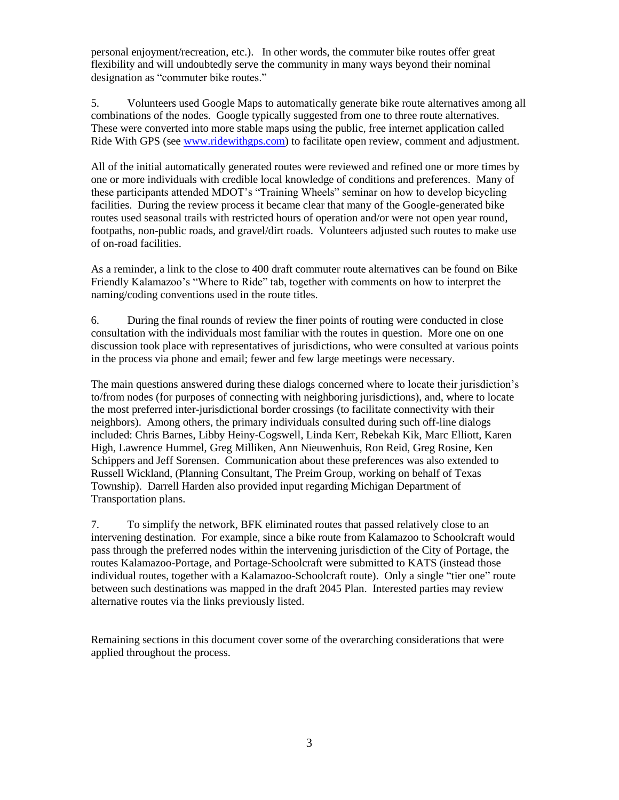personal enjoyment/recreation, etc.). In other words, the commuter bike routes offer great flexibility and will undoubtedly serve the community in many ways beyond their nominal designation as "commuter bike routes."

5. Volunteers used Google Maps to automatically generate bike route alternatives among all combinations of the nodes. Google typically suggested from one to three route alternatives. These were converted into more stable maps using the public, free internet application called Ride With GPS (se[e www.ridewithgps.com\)](http://www.ridewithgps.com/) to facilitate open review, comment and adjustment.

All of the initial automatically generated routes were reviewed and refined one or more times by one or more individuals with credible local knowledge of conditions and preferences. Many of these participants attended MDOT's "Training Wheels" seminar on how to develop bicycling facilities. During the review process it became clear that many of the Google-generated bike routes used seasonal trails with restricted hours of operation and/or were not open year round, footpaths, non-public roads, and gravel/dirt roads. Volunteers adjusted such routes to make use of on-road facilities.

As a reminder, a link to the close to 400 draft commuter route alternatives can be found on Bike Friendly Kalamazoo's "Where to Ride" tab, together with comments on how to interpret the naming/coding conventions used in the route titles.

6. During the final rounds of review the finer points of routing were conducted in close consultation with the individuals most familiar with the routes in question. More one on one discussion took place with representatives of jurisdictions, who were consulted at various points in the process via phone and email; fewer and few large meetings were necessary.

The main questions answered during these dialogs concerned where to locate their jurisdiction's to/from nodes (for purposes of connecting with neighboring jurisdictions), and, where to locate the most preferred inter-jurisdictional border crossings (to facilitate connectivity with their neighbors). Among others, the primary individuals consulted during such off-line dialogs included: Chris Barnes, Libby Heiny-Cogswell, Linda Kerr, Rebekah Kik, Marc Elliott, Karen High, Lawrence Hummel, Greg Milliken, Ann Nieuwenhuis, Ron Reid, Greg Rosine, Ken Schippers and Jeff Sorensen. Communication about these preferences was also extended to Russell Wickland, (Planning Consultant, The Preim Group, working on behalf of Texas Township). Darrell Harden also provided input regarding Michigan Department of Transportation plans.

7. To simplify the network, BFK eliminated routes that passed relatively close to an intervening destination. For example, since a bike route from Kalamazoo to Schoolcraft would pass through the preferred nodes within the intervening jurisdiction of the City of Portage, the routes Kalamazoo-Portage, and Portage-Schoolcraft were submitted to KATS (instead those individual routes, together with a Kalamazoo-Schoolcraft route). Only a single "tier one" route between such destinations was mapped in the draft 2045 Plan. Interested parties may review alternative routes via the links previously listed.

Remaining sections in this document cover some of the overarching considerations that were applied throughout the process.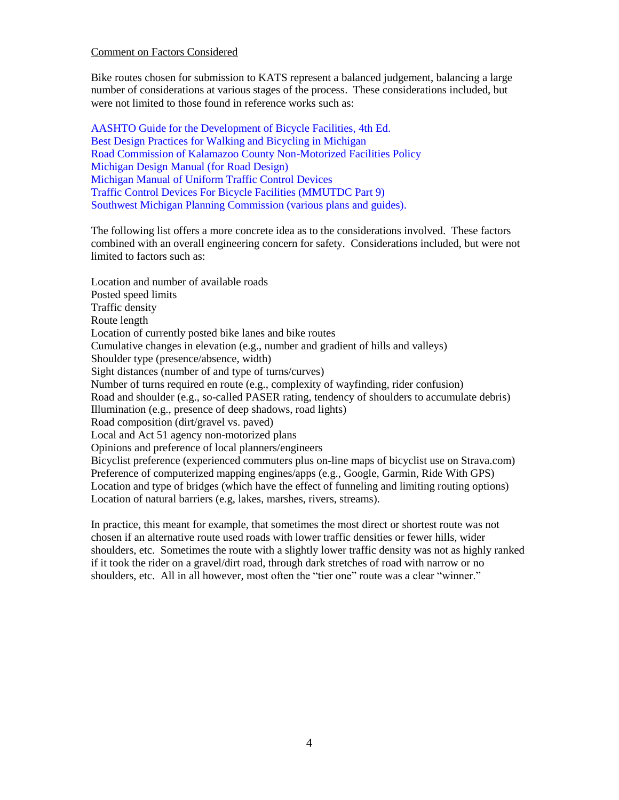#### Comment on Factors Considered

Bike routes chosen for submission to KATS represent a balanced judgement, balancing a large number of considerations at various stages of the process. These considerations included, but were not limited to those found in reference works such as:

[AASHTO Guide for the Development of Bicycle Facilities, 4th Ed.](https://bookstore.transportation.org/collection_detail.aspx?ID=116) [Best Design Practices for Walking and Bicycling in Michigan](http://mdotcf.state.mi.us/public/tands/Details_Web/mdot_research_report.pdf) [Road Commission of Kalamazoo County Non-Motorized Facilities Policy](http://www.kcrc-roads.com/userfiles/kcrc/file/Engineering/Non%20Motorized%20Policy%201-28-14%20Final.pdf)  [Michigan Design Manual](http://mdotcf.state.mi.us/public/design/files/englishroadmanual/erdm12.pdf) (for Road Design) [Michigan Manual of Uniform Traffic Control Devices](http://mdotcf.state.mi.us/public/tands/plans.cfm) [Traffic Control Devices For Bicycle Facilities \(MMUTDC Part 9\)](http://mdotcf.state.mi.us/public/tands/Details_Web/mmutcdpart9_2011.pdf)  [Southwest Michigan Planning Commission \(various plans and guides\).](http://www.swmpc.org/trails_2.asp)

The following list offers a more concrete idea as to the considerations involved. These factors combined with an overall engineering concern for safety. Considerations included, but were not limited to factors such as:

Location and number of available roads Posted speed limits Traffic density Route length Location of currently posted bike lanes and bike routes Cumulative changes in elevation (e.g., number and gradient of hills and valleys) Shoulder type (presence/absence, width) Sight distances (number of and type of turns/curves) Number of turns required en route (e.g., complexity of wayfinding, rider confusion) Road and shoulder (e.g., so-called PASER rating, tendency of shoulders to accumulate debris) Illumination (e.g., presence of deep shadows, road lights) Road composition (dirt/gravel vs. paved) Local and Act 51 agency non-motorized plans Opinions and preference of local planners/engineers Bicyclist preference (experienced commuters plus on-line maps of bicyclist use on Strava.com) Preference of computerized mapping engines/apps (e.g., Google, Garmin, Ride With GPS) Location and type of bridges (which have the effect of funneling and limiting routing options) Location of natural barriers (e.g, lakes, marshes, rivers, streams).

In practice, this meant for example, that sometimes the most direct or shortest route was not chosen if an alternative route used roads with lower traffic densities or fewer hills, wider shoulders, etc. Sometimes the route with a slightly lower traffic density was not as highly ranked if it took the rider on a gravel/dirt road, through dark stretches of road with narrow or no shoulders, etc. All in all however, most often the "tier one" route was a clear "winner."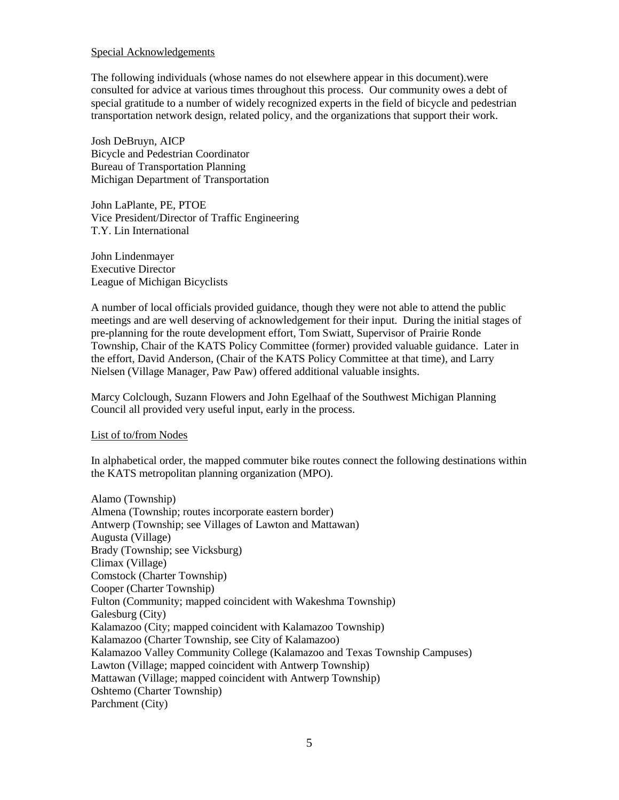#### Special Acknowledgements

The following individuals (whose names do not elsewhere appear in this document).were consulted for advice at various times throughout this process. Our community owes a debt of special gratitude to a number of widely recognized experts in the field of bicycle and pedestrian transportation network design, related policy, and the organizations that support their work.

Josh DeBruyn, AICP Bicycle and Pedestrian Coordinator Bureau of Transportation Planning Michigan Department of Transportation

John LaPlante, PE, PTOE Vice President/Director of Traffic Engineering T.Y. Lin International

John Lindenmayer Executive Director League of Michigan Bicyclists

A number of local officials provided guidance, though they were not able to attend the public meetings and are well deserving of acknowledgement for their input. During the initial stages of pre-planning for the route development effort, Tom Swiatt, Supervisor of Prairie Ronde Township, Chair of the KATS Policy Committee (former) provided valuable guidance. Later in the effort, David Anderson, (Chair of the KATS Policy Committee at that time), and Larry Nielsen (Village Manager, Paw Paw) offered additional valuable insights.

Marcy Colclough, Suzann Flowers and John Egelhaaf of the Southwest Michigan Planning Council all provided very useful input, early in the process.

#### List of to/from Nodes

In alphabetical order, the mapped commuter bike routes connect the following destinations within the KATS metropolitan planning organization (MPO).

Alamo (Township) Almena (Township; routes incorporate eastern border) Antwerp (Township; see Villages of Lawton and Mattawan) Augusta (Village) Brady (Township; see Vicksburg) Climax (Village) Comstock (Charter Township) Cooper (Charter Township) Fulton (Community; mapped coincident with Wakeshma Township) Galesburg (City) Kalamazoo (City; mapped coincident with Kalamazoo Township) Kalamazoo (Charter Township, see City of Kalamazoo) Kalamazoo Valley Community College (Kalamazoo and Texas Township Campuses) Lawton (Village; mapped coincident with Antwerp Township) Mattawan (Village; mapped coincident with Antwerp Township) Oshtemo (Charter Township) Parchment (City)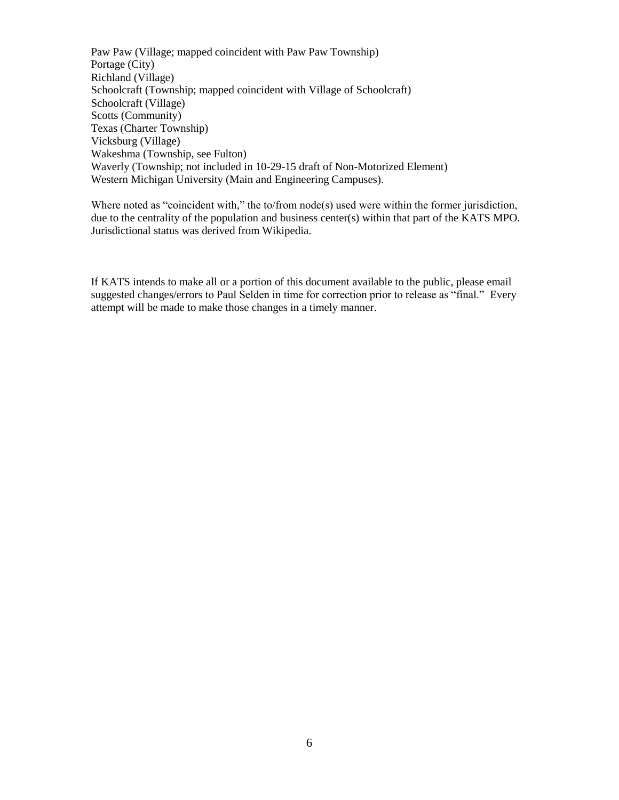Paw Paw (Village; mapped coincident with Paw Paw Township) Portage (City) Richland (Village) Schoolcraft (Township; mapped coincident with Village of Schoolcraft) Schoolcraft (Village) Scotts (Community) Texas (Charter Township) Vicksburg (Village) Wakeshma (Township, see Fulton) Waverly (Township; not included in 10-29-15 draft of Non-Motorized Element) Western Michigan University (Main and Engineering Campuses).

Where noted as "coincident with," the to/from node(s) used were within the former jurisdiction, due to the centrality of the population and business center(s) within that part of the KATS MPO. Jurisdictional status was derived from Wikipedia.

If KATS intends to make all or a portion of this document available to the public, please email suggested changes/errors to Paul Selden in time for correction prior to release as "final." Every attempt will be made to make those changes in a timely manner.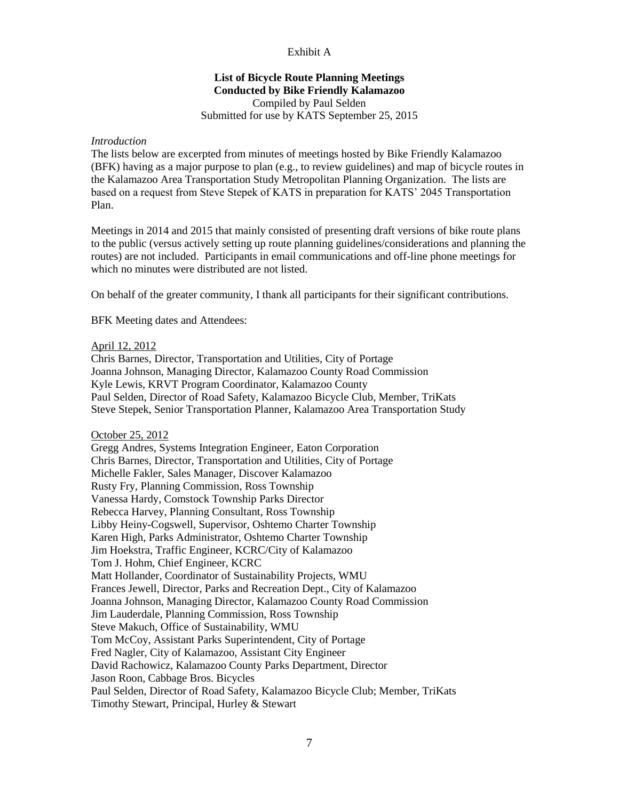## Exhibit A

# **List of Bicycle Route Planning Meetings Conducted by Bike Friendly Kalamazoo** Compiled by Paul Selden

# Submitted for use by KATS September 25, 2015

## *Introduction*

The lists below are excerpted from minutes of meetings hosted by Bike Friendly Kalamazoo (BFK) having as a major purpose to plan (e.g., to review guidelines) and map of bicycle routes in the Kalamazoo Area Transportation Study Metropolitan Planning Organization. The lists are based on a request from Steve Stepek of KATS in preparation for KATS' 2045 Transportation Plan.

Meetings in 2014 and 2015 that mainly consisted of presenting draft versions of bike route plans to the public (versus actively setting up route planning guidelines/considerations and planning the routes) are not included. Participants in email communications and off-line phone meetings for which no minutes were distributed are not listed.

On behalf of the greater community, I thank all participants for their significant contributions.

BFK Meeting dates and Attendees:

#### April 12, 2012

Chris Barnes, Director, Transportation and Utilities, City of Portage Joanna Johnson, Managing Director, Kalamazoo County Road Commission Kyle Lewis, KRVT Program Coordinator, Kalamazoo County Paul Selden, Director of Road Safety, Kalamazoo Bicycle Club, Member, TriKats Steve Stepek, Senior Transportation Planner, Kalamazoo Area Transportation Study

#### October 25, 2012

Gregg Andres, Systems Integration Engineer, Eaton Corporation Chris Barnes, Director, Transportation and Utilities, City of Portage Michelle Fakler, Sales Manager, Discover Kalamazoo Rusty Fry, Planning Commission, Ross Township Vanessa Hardy, Comstock Township Parks Director Rebecca Harvey, Planning Consultant, Ross Township Libby Heiny-Cogswell, Supervisor, Oshtemo Charter Township Karen High, Parks Administrator, Oshtemo Charter Township Jim Hoekstra, Traffic Engineer, KCRC/City of Kalamazoo Tom J. Hohm, Chief Engineer, KCRC Matt Hollander, Coordinator of Sustainability Projects, WMU Frances Jewell, Director, Parks and Recreation Dept., City of Kalamazoo Joanna Johnson, Managing Director, Kalamazoo County Road Commission Jim Lauderdale, Planning Commission, Ross Township Steve Makuch, Office of Sustainability, WMU Tom McCoy, Assistant Parks Superintendent, City of Portage Fred Nagler, City of Kalamazoo, Assistant City Engineer David Rachowicz, Kalamazoo County Parks Department, Director Jason Roon, Cabbage Bros. Bicycles Paul Selden, Director of Road Safety, Kalamazoo Bicycle Club; Member, TriKats Timothy Stewart, Principal, Hurley & Stewart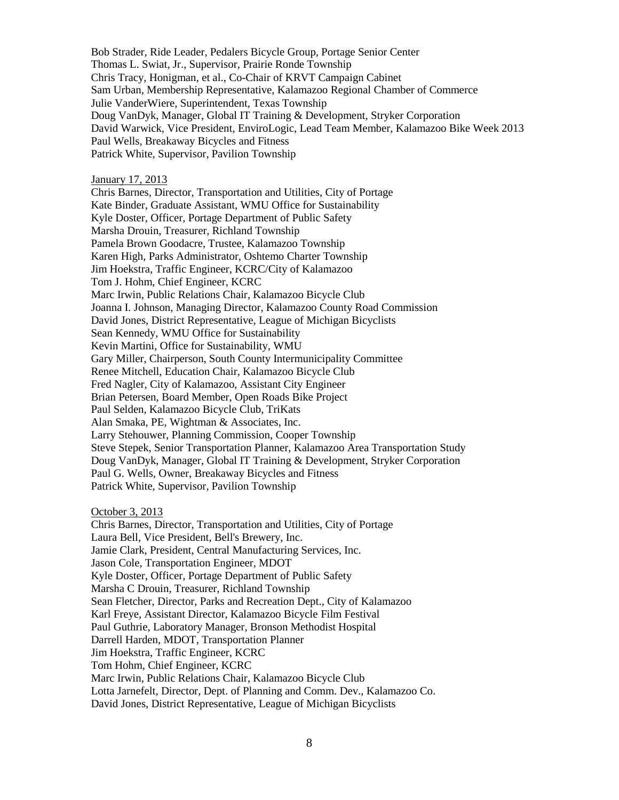Bob Strader, Ride Leader, Pedalers Bicycle Group, Portage Senior Center Thomas L. Swiat, Jr., Supervisor, Prairie Ronde Township Chris Tracy, Honigman, et al., Co-Chair of KRVT Campaign Cabinet Sam Urban, Membership Representative, Kalamazoo Regional Chamber of Commerce Julie VanderWiere, Superintendent, Texas Township Doug VanDyk, Manager, Global IT Training & Development, Stryker Corporation David Warwick, Vice President, EnviroLogic, Lead Team Member, Kalamazoo Bike Week 2013 Paul Wells, Breakaway Bicycles and Fitness Patrick White, Supervisor, Pavilion Township

January 17, 2013

Chris Barnes, Director, Transportation and Utilities, City of Portage Kate Binder, Graduate Assistant, WMU Office for Sustainability Kyle Doster, Officer, Portage Department of Public Safety Marsha Drouin, Treasurer, Richland Township Pamela Brown Goodacre, Trustee, Kalamazoo Township Karen High, Parks Administrator, Oshtemo Charter Township Jim Hoekstra, Traffic Engineer, KCRC/City of Kalamazoo Tom J. Hohm, Chief Engineer, KCRC Marc Irwin, Public Relations Chair, Kalamazoo Bicycle Club Joanna I. Johnson, Managing Director, Kalamazoo County Road Commission David Jones, District Representative, League of Michigan Bicyclists Sean Kennedy, WMU Office for Sustainability Kevin Martini, Office for Sustainability, WMU Gary Miller, Chairperson, South County Intermunicipality Committee Renee Mitchell, Education Chair, Kalamazoo Bicycle Club Fred Nagler, City of Kalamazoo, Assistant City Engineer Brian Petersen, Board Member, Open Roads Bike Project Paul Selden, Kalamazoo Bicycle Club, TriKats Alan Smaka, PE, Wightman & Associates, Inc. Larry Stehouwer, Planning Commission, Cooper Township Steve Stepek, Senior Transportation Planner, Kalamazoo Area Transportation Study Doug VanDyk, Manager, Global IT Training & Development, Stryker Corporation Paul G. Wells, Owner, Breakaway Bicycles and Fitness Patrick White, Supervisor, Pavilion Township

October 3, 2013

Chris Barnes, Director, Transportation and Utilities, City of Portage Laura Bell, Vice President, Bell's Brewery, Inc. Jamie Clark, President, Central Manufacturing Services, Inc. Jason Cole, Transportation Engineer, MDOT Kyle Doster, Officer, Portage Department of Public Safety Marsha C Drouin, Treasurer, Richland Township Sean Fletcher, Director, Parks and Recreation Dept., City of Kalamazoo Karl Freye, Assistant Director, Kalamazoo Bicycle Film Festival Paul Guthrie, Laboratory Manager, Bronson Methodist Hospital Darrell Harden, MDOT, Transportation Planner Jim Hoekstra, Traffic Engineer, KCRC Tom Hohm, Chief Engineer, KCRC Marc Irwin, Public Relations Chair, Kalamazoo Bicycle Club Lotta Jarnefelt, Director, Dept. of Planning and Comm. Dev., Kalamazoo Co. David Jones, District Representative, League of Michigan Bicyclists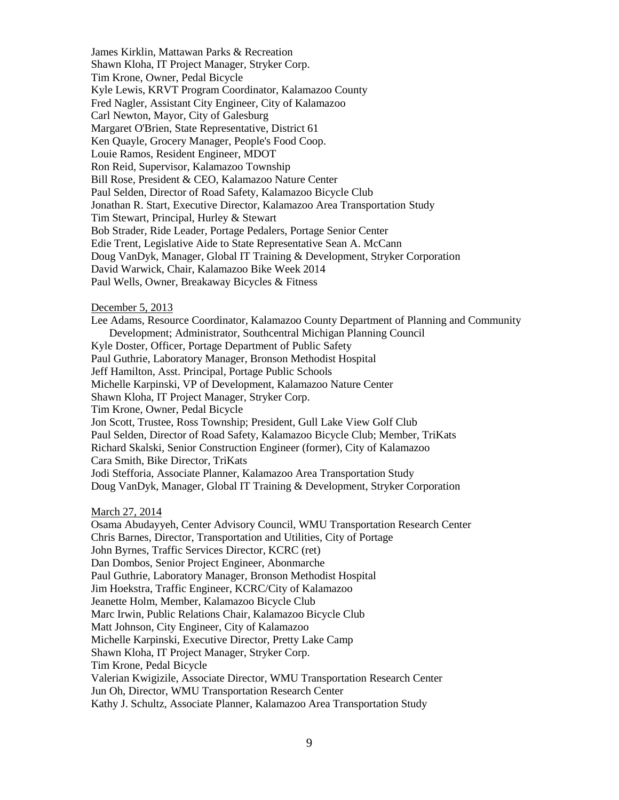James Kirklin, Mattawan Parks & Recreation Shawn Kloha, IT Project Manager, Stryker Corp. Tim Krone, Owner, Pedal Bicycle Kyle Lewis, KRVT Program Coordinator, Kalamazoo County Fred Nagler, Assistant City Engineer, City of Kalamazoo Carl Newton, Mayor, City of Galesburg Margaret O'Brien, State Representative, District 61 Ken Quayle, Grocery Manager, People's Food Coop. Louie Ramos, Resident Engineer, MDOT Ron Reid, Supervisor, Kalamazoo Township Bill Rose, President & CEO, Kalamazoo Nature Center Paul Selden, Director of Road Safety, Kalamazoo Bicycle Club Jonathan R. Start, Executive Director, Kalamazoo Area Transportation Study Tim Stewart, Principal, Hurley & Stewart Bob Strader, Ride Leader, Portage Pedalers, Portage Senior Center Edie Trent, Legislative Aide to State Representative Sean A. McCann Doug VanDyk, Manager, Global IT Training & Development, Stryker Corporation David Warwick, Chair, Kalamazoo Bike Week 2014 Paul Wells, Owner, Breakaway Bicycles & Fitness

#### December 5, 2013

Lee Adams, Resource Coordinator, Kalamazoo County Department of Planning and Community Development; Administrator, Southcentral Michigan Planning Council Kyle Doster, Officer, Portage Department of Public Safety Paul Guthrie, Laboratory Manager, Bronson Methodist Hospital Jeff Hamilton, Asst. Principal, Portage Public Schools Michelle Karpinski, VP of Development, Kalamazoo Nature Center Shawn Kloha, IT Project Manager, Stryker Corp. Tim Krone, Owner, Pedal Bicycle Jon Scott, Trustee, Ross Township; President, Gull Lake View Golf Club Paul Selden, Director of Road Safety, Kalamazoo Bicycle Club; Member, TriKats Richard Skalski, Senior Construction Engineer (former), City of Kalamazoo Cara Smith, Bike Director, TriKats Jodi Stefforia, Associate Planner, Kalamazoo Area Transportation Study Doug VanDyk, Manager, Global IT Training & Development, Stryker Corporation

#### March 27, 2014

Osama Abudayyeh, Center Advisory Council, WMU Transportation Research Center Chris Barnes, Director, Transportation and Utilities, City of Portage John Byrnes, Traffic Services Director, KCRC (ret) Dan Dombos, Senior Project Engineer, Abonmarche Paul Guthrie, Laboratory Manager, Bronson Methodist Hospital Jim Hoekstra, Traffic Engineer, KCRC/City of Kalamazoo Jeanette Holm, Member, Kalamazoo Bicycle Club Marc Irwin, Public Relations Chair, Kalamazoo Bicycle Club Matt Johnson, City Engineer, City of Kalamazoo Michelle Karpinski, Executive Director, Pretty Lake Camp Shawn Kloha, IT Project Manager, Stryker Corp. Tim Krone, Pedal Bicycle Valerian Kwigizile, Associate Director, WMU Transportation Research Center Jun Oh, Director, WMU Transportation Research Center Kathy J. Schultz, Associate Planner, Kalamazoo Area Transportation Study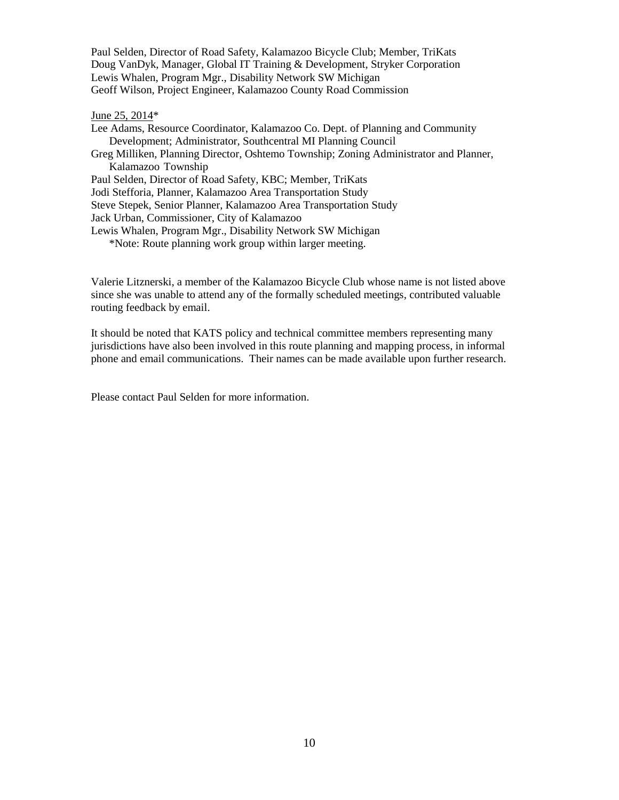Paul Selden, Director of Road Safety, Kalamazoo Bicycle Club; Member, TriKats Doug VanDyk, Manager, Global IT Training & Development, Stryker Corporation Lewis Whalen, Program Mgr., Disability Network SW Michigan Geoff Wilson, Project Engineer, Kalamazoo County Road Commission

#### June 25, 2014\*

Lee Adams, Resource Coordinator, Kalamazoo Co. Dept. of Planning and Community Development; Administrator, Southcentral MI Planning Council Greg Milliken, Planning Director, Oshtemo Township; Zoning Administrator and Planner, Kalamazoo Township Paul Selden, Director of Road Safety, KBC; Member, TriKats Jodi Stefforia, Planner, Kalamazoo Area Transportation Study Steve Stepek, Senior Planner, Kalamazoo Area Transportation Study Jack Urban, Commissioner, City of Kalamazoo Lewis Whalen, Program Mgr., Disability Network SW Michigan \*Note: Route planning work group within larger meeting.

Valerie Litznerski, a member of the Kalamazoo Bicycle Club whose name is not listed above since she was unable to attend any of the formally scheduled meetings, contributed valuable routing feedback by email.

It should be noted that KATS policy and technical committee members representing many jurisdictions have also been involved in this route planning and mapping process, in informal phone and email communications. Their names can be made available upon further research.

Please contact Paul Selden for more information.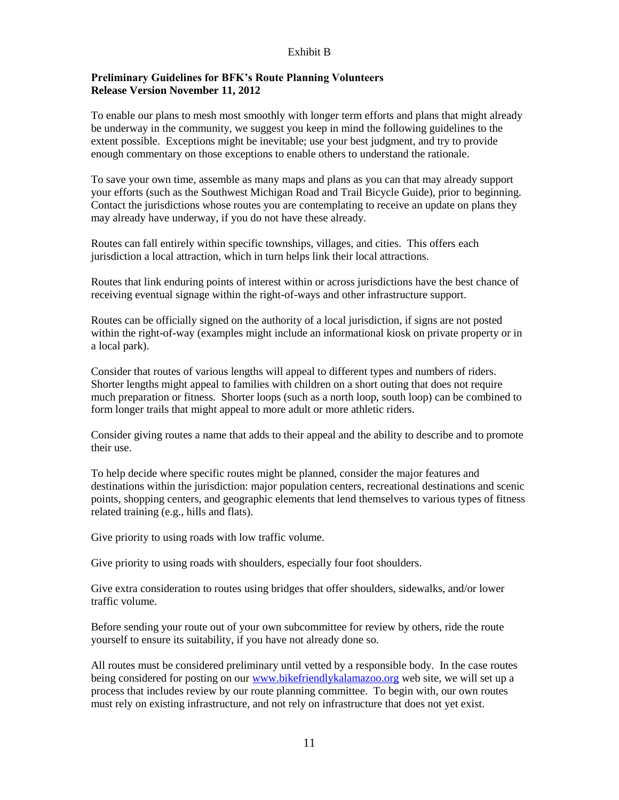#### Exhibit B

# **Preliminary Guidelines for BFK's Route Planning Volunteers Release Version November 11, 2012**

To enable our plans to mesh most smoothly with longer term efforts and plans that might already be underway in the community, we suggest you keep in mind the following guidelines to the extent possible. Exceptions might be inevitable; use your best judgment, and try to provide enough commentary on those exceptions to enable others to understand the rationale.

To save your own time, assemble as many maps and plans as you can that may already support your efforts (such as the Southwest Michigan Road and Trail Bicycle Guide), prior to beginning. Contact the jurisdictions whose routes you are contemplating to receive an update on plans they may already have underway, if you do not have these already.

Routes can fall entirely within specific townships, villages, and cities. This offers each jurisdiction a local attraction, which in turn helps link their local attractions.

Routes that link enduring points of interest within or across jurisdictions have the best chance of receiving eventual signage within the right-of-ways and other infrastructure support.

Routes can be officially signed on the authority of a local jurisdiction, if signs are not posted within the right-of-way (examples might include an informational kiosk on private property or in a local park).

Consider that routes of various lengths will appeal to different types and numbers of riders. Shorter lengths might appeal to families with children on a short outing that does not require much preparation or fitness. Shorter loops (such as a north loop, south loop) can be combined to form longer trails that might appeal to more adult or more athletic riders.

Consider giving routes a name that adds to their appeal and the ability to describe and to promote their use.

To help decide where specific routes might be planned, consider the major features and destinations within the jurisdiction: major population centers, recreational destinations and scenic points, shopping centers, and geographic elements that lend themselves to various types of fitness related training (e.g., hills and flats).

Give priority to using roads with low traffic volume.

Give priority to using roads with shoulders, especially four foot shoulders.

Give extra consideration to routes using bridges that offer shoulders, sidewalks, and/or lower traffic volume.

Before sending your route out of your own subcommittee for review by others, ride the route yourself to ensure its suitability, if you have not already done so.

All routes must be considered preliminary until vetted by a responsible body. In the case routes being considered for posting on our [www.bikefriendlykalamazoo.org](http://www.bikefriendlykalamazoo.org/) web site, we will set up a process that includes review by our route planning committee. To begin with, our own routes must rely on existing infrastructure, and not rely on infrastructure that does not yet exist.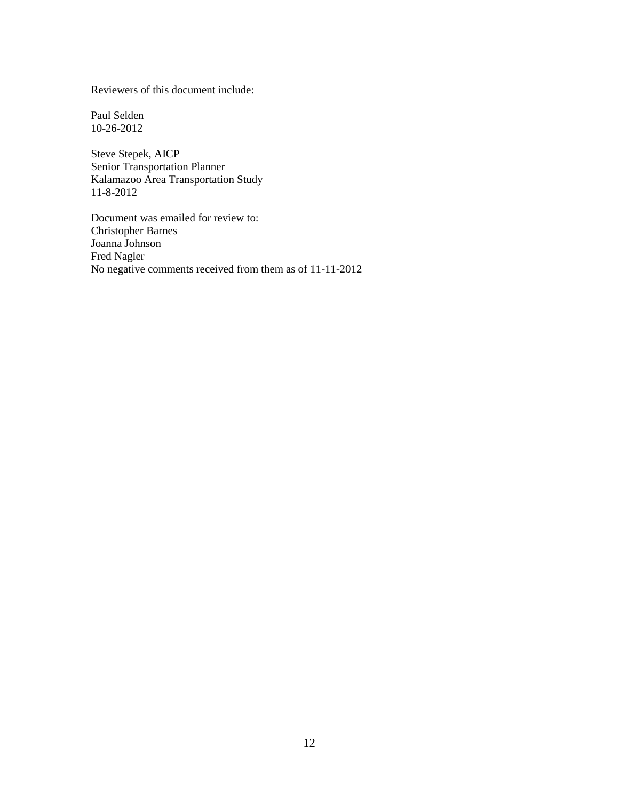Reviewers of this document include:

Paul Selden 10-26-2012

Steve Stepek, AICP Senior Transportation Planner Kalamazoo Area Transportation Study 11-8-2012

Document was emailed for review to: Christopher Barnes Joanna Johnson Fred Nagler No negative comments received from them as of 11-11-2012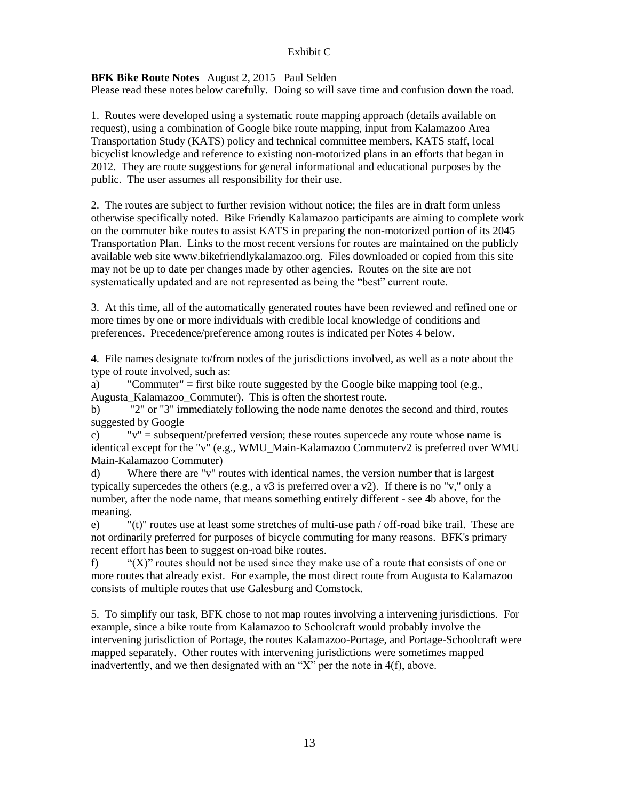## Exhibit C

# **BFK Bike Route Notes** August 2, 2015 Paul Selden

Please read these notes below carefully. Doing so will save time and confusion down the road.

1. Routes were developed using a systematic route mapping approach (details available on request), using a combination of Google bike route mapping, input from Kalamazoo Area Transportation Study (KATS) policy and technical committee members, KATS staff, local bicyclist knowledge and reference to existing non-motorized plans in an efforts that began in 2012. They are route suggestions for general informational and educational purposes by the public. The user assumes all responsibility for their use.

2. The routes are subject to further revision without notice; the files are in draft form unless otherwise specifically noted. Bike Friendly Kalamazoo participants are aiming to complete work on the commuter bike routes to assist KATS in preparing the non-motorized portion of its 2045 Transportation Plan. Links to the most recent versions for routes are maintained on the publicly available web site www.bikefriendlykalamazoo.org. Files downloaded or copied from this site may not be up to date per changes made by other agencies. Routes on the site are not systematically updated and are not represented as being the "best" current route.

3. At this time, all of the automatically generated routes have been reviewed and refined one or more times by one or more individuals with credible local knowledge of conditions and preferences. Precedence/preference among routes is indicated per Notes 4 below.

4. File names designate to/from nodes of the jurisdictions involved, as well as a note about the type of route involved, such as:

a) "Commuter" = first bike route suggested by the Google bike mapping tool (e.g.,

Augusta\_Kalamazoo\_Commuter). This is often the shortest route.

b) "2" or "3" immediately following the node name denotes the second and third, routes suggested by Google

c)  $v'' =$  subsequent/preferred version; these routes supercede any route whose name is identical except for the "v" (e.g., WMU\_Main-Kalamazoo Commuterv2 is preferred over WMU Main-Kalamazoo Commuter)

d) Where there are "v" routes with identical names, the version number that is largest typically supercedes the others (e.g., a v3 is preferred over a v2). If there is no "v," only a number, after the node name, that means something entirely different - see 4b above, for the meaning.

e) "(t)" routes use at least some stretches of multi-use path / off-road bike trail. These are not ordinarily preferred for purposes of bicycle commuting for many reasons. BFK's primary recent effort has been to suggest on-road bike routes.

f) " $(X)$ " routes should not be used since they make use of a route that consists of one or more routes that already exist. For example, the most direct route from Augusta to Kalamazoo consists of multiple routes that use Galesburg and Comstock.

5. To simplify our task, BFK chose to not map routes involving a intervening jurisdictions. For example, since a bike route from Kalamazoo to Schoolcraft would probably involve the intervening jurisdiction of Portage, the routes Kalamazoo-Portage, and Portage-Schoolcraft were mapped separately. Other routes with intervening jurisdictions were sometimes mapped inadvertently, and we then designated with an "X" per the note in 4(f), above.